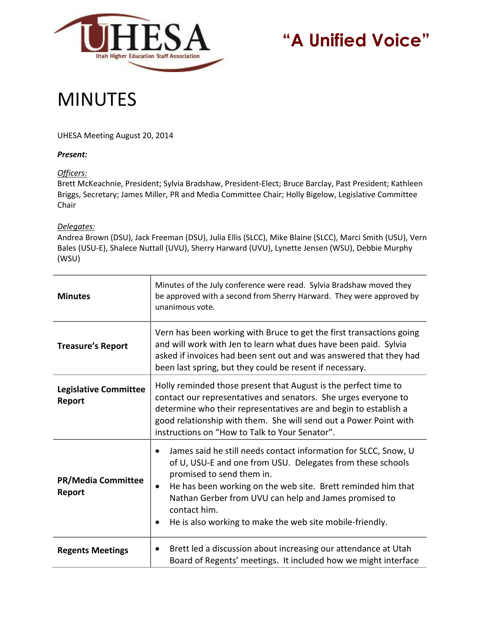

## **"A Unified Voice"**

## MINUTES

UHESA Meeting August 20, 2014

## *Present:*

*Officers:*

Brett McKeachnie, President; Sylvia Bradshaw, President-Elect; Bruce Barclay, Past President; Kathleen Briggs, Secretary; James Miller, PR and Media Committee Chair; Holly Bigelow, Legislative Committee Chair

## *Delegates:*

Andrea Brown (DSU), Jack Freeman (DSU), Julia Ellis (SLCC), Mike Blaine (SLCC), Marci Smith (USU), Vern Bales (USU-E), Shalece Nuttall (UVU), Sherry Harward (UVU), Lynette Jensen (WSU), Debbie Murphy (WSU)

| <b>Minutes</b>                         | Minutes of the July conference were read. Sylvia Bradshaw moved they<br>be approved with a second from Sherry Harward. They were approved by<br>unanimous vote.                                                                                                                                                                                                              |
|----------------------------------------|------------------------------------------------------------------------------------------------------------------------------------------------------------------------------------------------------------------------------------------------------------------------------------------------------------------------------------------------------------------------------|
| <b>Treasure's Report</b>               | Vern has been working with Bruce to get the first transactions going<br>and will work with Jen to learn what dues have been paid. Sylvia<br>asked if invoices had been sent out and was answered that they had<br>been last spring, but they could be resent if necessary.                                                                                                   |
| <b>Legislative Committee</b><br>Report | Holly reminded those present that August is the perfect time to<br>contact our representatives and senators. She urges everyone to<br>determine who their representatives are and begin to establish a<br>good relationship with them. She will send out a Power Point with<br>instructions on "How to Talk to Your Senator".                                                |
| <b>PR/Media Committee</b><br>Report    | James said he still needs contact information for SLCC, Snow, U<br>of U, USU-E and one from USU. Delegates from these schools<br>promised to send them in.<br>He has been working on the web site. Brett reminded him that<br>$\bullet$<br>Nathan Gerber from UVU can help and James promised to<br>contact him.<br>He is also working to make the web site mobile-friendly. |
| <b>Regents Meetings</b>                | Brett led a discussion about increasing our attendance at Utah<br>٠<br>Board of Regents' meetings. It included how we might interface                                                                                                                                                                                                                                        |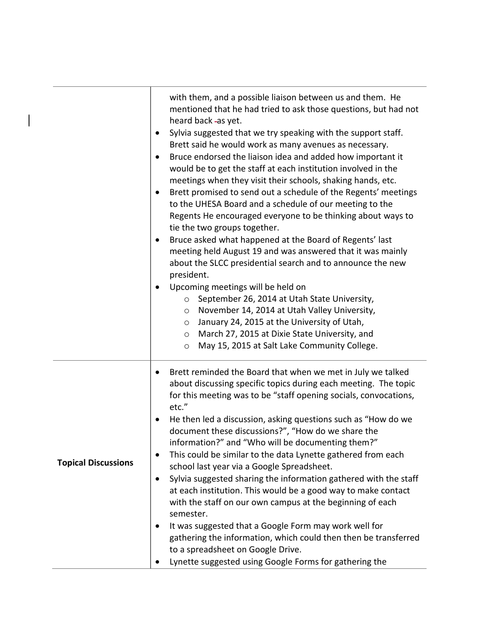|                            | with them, and a possible liaison between us and them. He<br>mentioned that he had tried to ask those questions, but had not<br>heard back-as yet.<br>Sylvia suggested that we try speaking with the support staff.<br>٠<br>Brett said he would work as many avenues as necessary.<br>Bruce endorsed the liaison idea and added how important it<br>$\bullet$<br>would be to get the staff at each institution involved in the<br>meetings when they visit their schools, shaking hands, etc.<br>Brett promised to send out a schedule of the Regents' meetings<br>٠<br>to the UHESA Board and a schedule of our meeting to the<br>Regents He encouraged everyone to be thinking about ways to<br>tie the two groups together.<br>Bruce asked what happened at the Board of Regents' last<br>٠<br>meeting held August 19 and was answered that it was mainly<br>about the SLCC presidential search and to announce the new<br>president.<br>Upcoming meetings will be held on<br>$\bullet$<br>September 26, 2014 at Utah State University,<br>$\circ$<br>November 14, 2014 at Utah Valley University,<br>$\circ$<br>January 24, 2015 at the University of Utah,<br>$\circ$<br>March 27, 2015 at Dixie State University, and<br>$\circ$<br>May 15, 2015 at Salt Lake Community College.<br>O |
|----------------------------|---------------------------------------------------------------------------------------------------------------------------------------------------------------------------------------------------------------------------------------------------------------------------------------------------------------------------------------------------------------------------------------------------------------------------------------------------------------------------------------------------------------------------------------------------------------------------------------------------------------------------------------------------------------------------------------------------------------------------------------------------------------------------------------------------------------------------------------------------------------------------------------------------------------------------------------------------------------------------------------------------------------------------------------------------------------------------------------------------------------------------------------------------------------------------------------------------------------------------------------------------------------------------------------------|
| <b>Topical Discussions</b> | Brett reminded the Board that when we met in July we talked<br>about discussing specific topics during each meeting. The topic<br>for this meeting was to be "staff opening socials, convocations,<br>etc."<br>He then led a discussion, asking questions such as "How do we<br>document these discussions?", "How do we share the<br>information?" and "Who will be documenting them?"<br>This could be similar to the data Lynette gathered from each<br>school last year via a Google Spreadsheet.<br>Sylvia suggested sharing the information gathered with the staff<br>٠<br>at each institution. This would be a good way to make contact<br>with the staff on our own campus at the beginning of each<br>semester.<br>It was suggested that a Google Form may work well for<br>gathering the information, which could then then be transferred<br>to a spreadsheet on Google Drive.<br>Lynette suggested using Google Forms for gathering the                                                                                                                                                                                                                                                                                                                                        |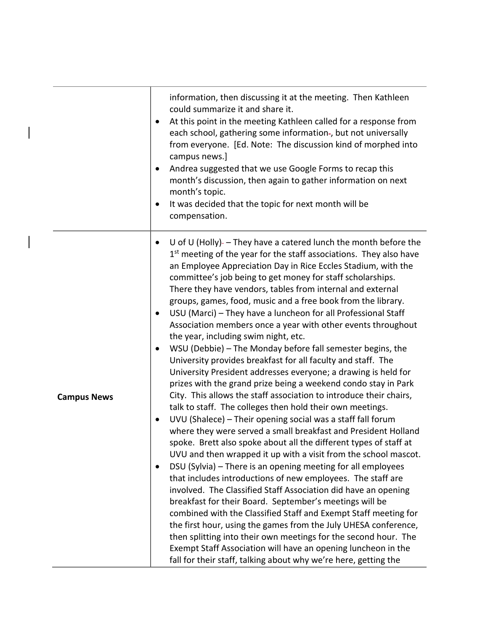|                    | information, then discussing it at the meeting. Then Kathleen<br>could summarize it and share it.<br>At this point in the meeting Kathleen called for a response from<br>٠<br>each school, gathering some information-, but not universally<br>from everyone. [Ed. Note: The discussion kind of morphed into<br>campus news.]<br>Andrea suggested that we use Google Forms to recap this<br>٠<br>month's discussion, then again to gather information on next<br>month's topic.<br>It was decided that the topic for next month will be<br>$\bullet$<br>compensation.                                                                                                                                                                                                                                                                                                                                                                                                                                                                                                                                                                                                                                                                                                                                                                                                                                                                                                                                                                                                                                                                                                                                                                                                                                                                                                                            |
|--------------------|--------------------------------------------------------------------------------------------------------------------------------------------------------------------------------------------------------------------------------------------------------------------------------------------------------------------------------------------------------------------------------------------------------------------------------------------------------------------------------------------------------------------------------------------------------------------------------------------------------------------------------------------------------------------------------------------------------------------------------------------------------------------------------------------------------------------------------------------------------------------------------------------------------------------------------------------------------------------------------------------------------------------------------------------------------------------------------------------------------------------------------------------------------------------------------------------------------------------------------------------------------------------------------------------------------------------------------------------------------------------------------------------------------------------------------------------------------------------------------------------------------------------------------------------------------------------------------------------------------------------------------------------------------------------------------------------------------------------------------------------------------------------------------------------------------------------------------------------------------------------------------------------------|
| <b>Campus News</b> | U of U (Holly)- $-$ They have a catered lunch the month before the<br>1 <sup>st</sup> meeting of the year for the staff associations. They also have<br>an Employee Appreciation Day in Rice Eccles Stadium, with the<br>committee's job being to get money for staff scholarships.<br>There they have vendors, tables from internal and external<br>groups, games, food, music and a free book from the library.<br>USU (Marci) - They have a luncheon for all Professional Staff<br>٠<br>Association members once a year with other events throughout<br>the year, including swim night, etc.<br>WSU (Debbie) - The Monday before fall semester begins, the<br>٠<br>University provides breakfast for all faculty and staff. The<br>University President addresses everyone; a drawing is held for<br>prizes with the grand prize being a weekend condo stay in Park<br>City. This allows the staff association to introduce their chairs,<br>talk to staff. The colleges then hold their own meetings.<br>UVU (Shalece) - Their opening social was a staff fall forum<br>٠<br>where they were served a small breakfast and President Holland<br>spoke. Brett also spoke about all the different types of staff at<br>UVU and then wrapped it up with a visit from the school mascot.<br>DSU (Sylvia) - There is an opening meeting for all employees<br>that includes introductions of new employees. The staff are<br>involved. The Classified Staff Association did have an opening<br>breakfast for their Board. September's meetings will be<br>combined with the Classified Staff and Exempt Staff meeting for<br>the first hour, using the games from the July UHESA conference,<br>then splitting into their own meetings for the second hour. The<br>Exempt Staff Association will have an opening luncheon in the<br>fall for their staff, talking about why we're here, getting the |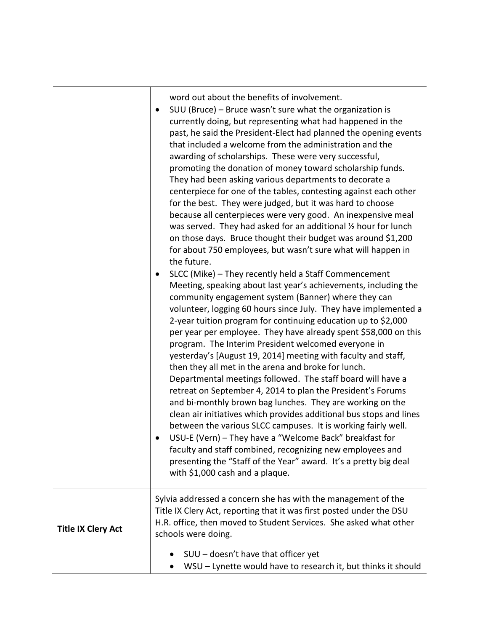word out about the benefits of involvement.

| for the best. They were judged, but it was hard to choose<br>because all centerpieces were very good. An inexpensive meal<br>was served. They had asked for an additional 1/2 hour for lunch<br>on those days. Bruce thought their budget was around \$1,200<br>for about 750 employees, but wasn't sure what will happen in<br>the future.<br>SLCC (Mike) - They recently held a Staff Commencement<br>Meeting, speaking about last year's achievements, including the<br>community engagement system (Banner) where they can<br>volunteer, logging 60 hours since July. They have implemented a<br>2-year tuition program for continuing education up to \$2,000<br>per year per employee. They have already spent \$58,000 on this<br>program. The Interim President welcomed everyone in<br>yesterday's [August 19, 2014] meeting with faculty and staff,<br>then they all met in the arena and broke for lunch.<br>Departmental meetings followed. The staff board will have a<br>retreat on September 4, 2014 to plan the President's Forums<br>and bi-monthly brown bag lunches. They are working on the<br>clean air initiatives which provides additional bus stops and lines<br>between the various SLCC campuses. It is working fairly well.<br>USU-E (Vern) - They have a "Welcome Back" breakfast for<br>faculty and staff combined, recognizing new employees and<br>presenting the "Staff of the Year" award. It's a pretty big deal<br>with \$1,000 cash and a plaque. |  |
|----------------------------------------------------------------------------------------------------------------------------------------------------------------------------------------------------------------------------------------------------------------------------------------------------------------------------------------------------------------------------------------------------------------------------------------------------------------------------------------------------------------------------------------------------------------------------------------------------------------------------------------------------------------------------------------------------------------------------------------------------------------------------------------------------------------------------------------------------------------------------------------------------------------------------------------------------------------------------------------------------------------------------------------------------------------------------------------------------------------------------------------------------------------------------------------------------------------------------------------------------------------------------------------------------------------------------------------------------------------------------------------------------------------------------------------------------------------------------------------|--|
| Sylvia addressed a concern she has with the management of the<br>Title IX Clery Act, reporting that it was first posted under the DSU<br>H.R. office, then moved to Student Services. She asked what other<br><b>Title IX Clery Act</b><br>schools were doing.<br>SUU - doesn't have that officer yet<br>WSU - Lynette would have to research it, but thinks it should                                                                                                                                                                                                                                                                                                                                                                                                                                                                                                                                                                                                                                                                                                                                                                                                                                                                                                                                                                                                                                                                                                                 |  |